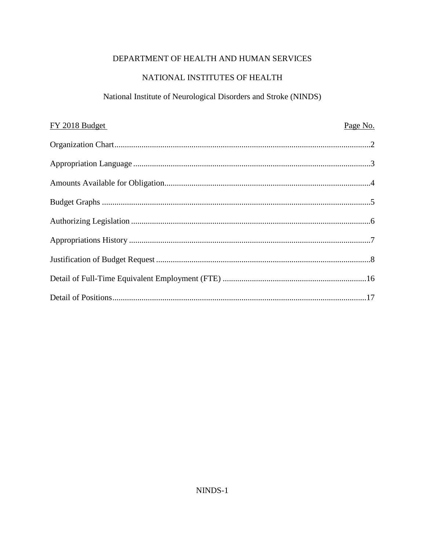# DEPARTMENT OF HEALTH AND HUMAN SERVICES

# NATIONAL INSTITUTES OF HEALTH

## National Institute of Neurological Disorders and Stroke (NINDS)

| FY 2018 Budget | Page No. |
|----------------|----------|
|                |          |
|                |          |
|                |          |
|                |          |
|                |          |
|                |          |
|                |          |
|                |          |
|                |          |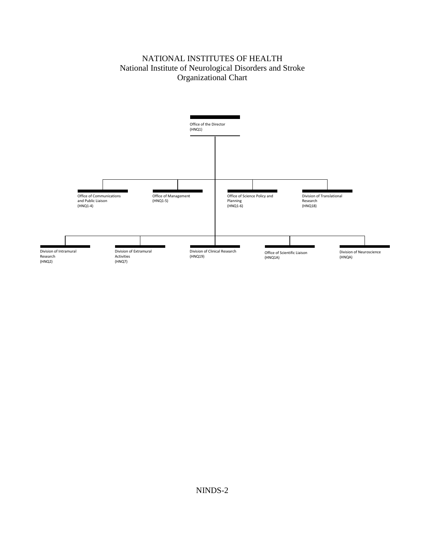### and Stroke NATIONAL INSTITUTES OF HEALTH Organizational Chart

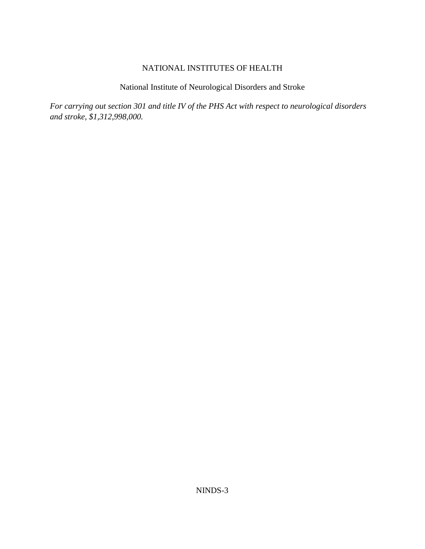NATIONAL INSTITUTES OF HEALTH<br>National Institute of Neurological Disorders and Stroke

 *and stroke, \$1,312,998,000. For carrying out section 301 and title IV of the PHS Act with respect to neurological disorders*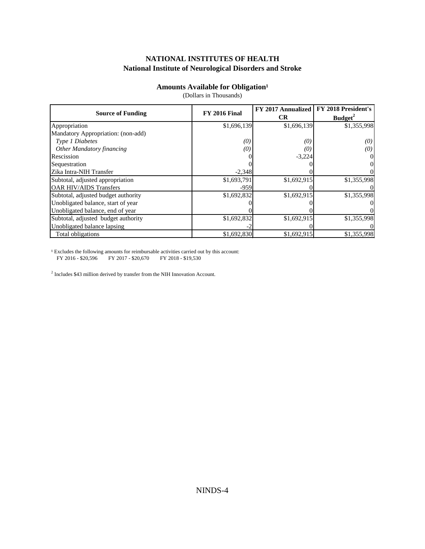# NATIONAL INSTITUTES OF HEALTH **NATIONAL INSTITUTES OF HEALTH<br>National Institute of Neurological Disorders and Stroke<br>Amounts Available for Obligation<sup>1</sup>**

(Dollars in Thousands)

|                                     | <b>FY 2016 Final</b> | FY 2017 Annualized | FY 2018 President's |  |
|-------------------------------------|----------------------|--------------------|---------------------|--|
| <b>Source of Funding</b>            |                      | <b>CR</b>          | Budget <sup>2</sup> |  |
| Appropriation                       | \$1,696,139          | \$1,696,139        | \$1,355,998         |  |
| Mandatory Appropriation: (non-add)  |                      |                    |                     |  |
| Type 1 Diabetes                     | (0)                  | (0)                | (0)                 |  |
| <b>Other Mandatory financing</b>    | (0)                  | (O.                | (0)                 |  |
| Rescission                          |                      | $-3,224$           |                     |  |
| Sequestration                       |                      |                    | OI                  |  |
| Zika Intra-NIH Transfer             | $-2.348$             |                    |                     |  |
| Subtotal, adjusted appropriation    | \$1,693,791          | \$1,692,915        | \$1,355,998         |  |
| <b>OAR HIV/AIDS Transfers</b>       | $-959$               |                    |                     |  |
| Subtotal, adjusted budget authority | \$1,692,832          | \$1,692,915        | \$1,355,998         |  |
| Unobligated balance, start of year  |                      |                    |                     |  |
| Unobligated balance, end of year    |                      |                    |                     |  |
| Subtotal, adjusted budget authority | \$1,692,832          | \$1,692,915        | \$1,355,998         |  |
| Unobligated balance lapsing         |                      |                    |                     |  |
| Total obligations                   | \$1,692,830          | \$1,692,915        | \$1,355,998         |  |

 $^{\rm 1}$  Excludes the following amounts for reimbursable activities carried out by this account: FY 2016 - \$20,596 FY 2017 - \$20,670 FY 2018 - \$19,530

<sup>2</sup> Includes \$43 million derived by transfer from the NIH Innovation Account.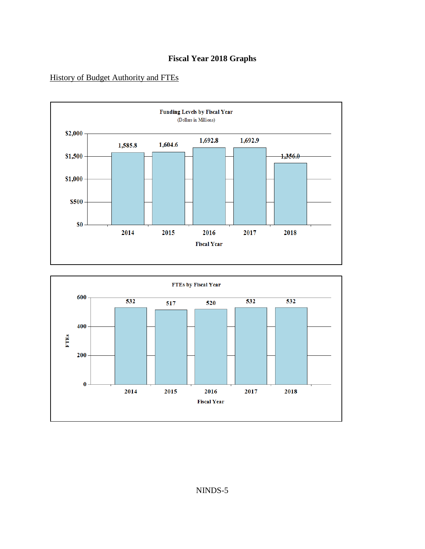## **Fiscal Year 2018 Graphs**

### History of Budget Authority and FTEs



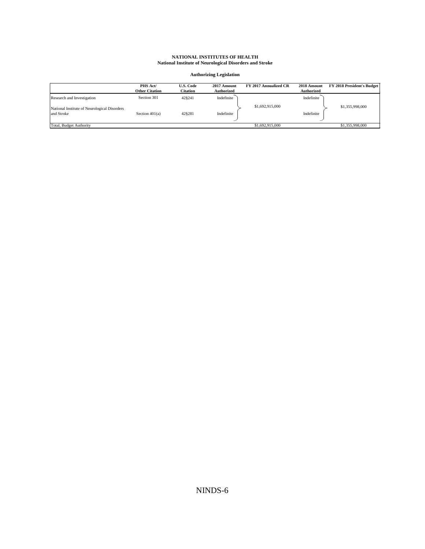| NATIONAL INSTITUTES OF HEALTH<br><b>National Institute of Neurological Disorders and Stroke</b> |                                   |                                     |                                  |                       |                                  |                            |
|-------------------------------------------------------------------------------------------------|-----------------------------------|-------------------------------------|----------------------------------|-----------------------|----------------------------------|----------------------------|
| <b>Authorizing Legislation</b>                                                                  |                                   |                                     |                                  |                       |                                  |                            |
|                                                                                                 | PHS Act/<br><b>Other Citation</b> | <b>U.S. Code</b><br><b>Citation</b> | 2017 Amount<br><b>Authorized</b> | FY 2017 Annualized CR | 2018 Amount<br><b>Authorized</b> | FY 2018 President's Budget |
| Research and Investigation                                                                      | Section 301                       | 42§241                              | Indefinite                       |                       | Indefinite                       |                            |
| National Institute of Neurological Disorders<br>and Stroke                                      | Section $401(a)$                  | 42§281                              | Indefinite                       | \$1,692,915,000       | Indefinite                       | \$1,355,998,000            |
| Total, Budget Authority                                                                         |                                   |                                     |                                  | \$1,692,915,000       |                                  | \$1,355,998,000            |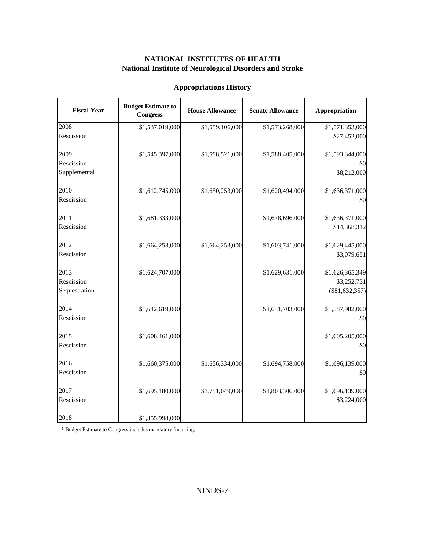### **NATIONAL INSTITUTES OF HEALTH National Institute of Neurological Disorders and Stroke**

| <b>Appropriations History</b>       |                                              |                        |                         |                                                    |  |
|-------------------------------------|----------------------------------------------|------------------------|-------------------------|----------------------------------------------------|--|
| <b>Fiscal Year</b>                  | <b>Budget Estimate to</b><br><b>Congress</b> | <b>House Allowance</b> | <b>Senate Allowance</b> | <b>Appropriation</b>                               |  |
| 2008<br>Rescission                  | \$1,537,019,000                              | \$1,559,106,000        | \$1,573,268,000         | \$1,571,353,000<br>\$27,452,000                    |  |
| 2009<br>Rescission<br>Supplemental  | \$1,545,397,000                              | \$1,598,521,000        | \$1,588,405,000         | \$1,593,344,000<br>\$0<br>\$8,212,000              |  |
| 2010<br>Rescission                  | \$1,612,745,000                              | \$1,650,253,000        | \$1,620,494,000         | \$1,636,371,000<br>\$0                             |  |
| 2011<br>Rescission                  | \$1,681,333,000                              |                        | \$1,678,696,000         | \$1,636,371,000<br>\$14,368,312                    |  |
| 2012<br>Rescission                  | \$1,664,253,000                              | \$1,664,253,000        | \$1,603,741,000         | \$1,629,445,000<br>\$3,079,651                     |  |
| 2013<br>Rescission<br>Sequestration | \$1,624,707,000                              |                        | \$1,629,631,000         | \$1,626,365,349<br>\$3,252,731<br>$(\$81,632,357)$ |  |
| 2014<br>Rescission                  | \$1,642,619,000                              |                        | \$1,631,703,000         | \$1,587,982,000<br>\$0                             |  |
| 2015<br>Rescission                  | \$1,608,461,000                              |                        |                         | \$1,605,205,000<br>\$0                             |  |
| 2016<br>Rescission                  | \$1,660,375,000                              | \$1,656,334,000        | \$1,694,758,000         | \$1,696,139,000<br>\$0                             |  |
| 20171<br>Rescission                 | \$1,695,180,000                              | \$1,751,049,000        | \$1,803,306,000         | \$1,696,139,000<br>\$3,224,000                     |  |
| 2018                                | \$1,355,998,000                              |                        |                         |                                                    |  |

<sup>1</sup> Budget Estimate to Congress includes mandatory financing.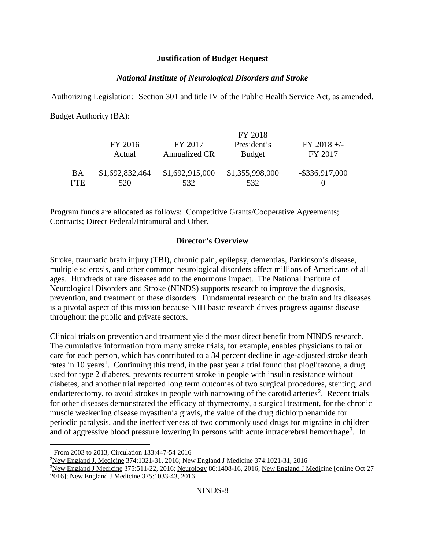#### **Justification of Budget Request**

### *National Institute of Neurological Disorders and Stroke*

Authorizing Legislation: Section 301 and title IV of the Public Health Service Act, as amended.

Budget Authority (BA):

|           |                 |                 | FY 2018         |                   |
|-----------|-----------------|-----------------|-----------------|-------------------|
|           | FY 2016         | FY 2017         | President's     | $FY$ 2018 +/-     |
|           | Actual          | Annualized CR   | <b>Budget</b>   | FY 2017           |
|           |                 |                 |                 |                   |
| <b>BA</b> | \$1,692,832,464 | \$1,692,915,000 | \$1,355,998,000 | $-$ \$336,917,000 |
| FTE       | 520             | 532.            | 532             |                   |

 Contracts; Direct Federal/Intramural and Other. Program funds are allocated as follows: Competitive Grants/Cooperative Agreements;

### **Director's Overview**

 multiple sclerosis, and other common neurological disorders affect millions of Americans of all ages. Hundreds of rare diseases add to the enormous impact. The National Institute of is a pivotal aspect of this mission because NIH basic research drives progress against disease Stroke, traumatic brain injury (TBI), chronic pain, epilepsy, dementias, Parkinson's disease, Neurological Disorders and Stroke (NINDS) supports research to improve the diagnosis, prevention, and treatment of these disorders. Fundamental research on the brain and its diseases throughout the public and private sectors.

 The cumulative information from many stroke trials, for example, enables physicians to tailor rates in [1](#page-7-0)0 years<sup>1</sup>. Continuing this trend, in the past year a trial found that pioglitazone, a drug diabetes, and another trial reported long term outcomes of two surgical procedures, stenting, and for other diseases demonstrated the efficacy of thymectomy, a surgical treatment, for the chronic Clinical trials on prevention and treatment yield the most direct benefit from NINDS research. care for each person, which has contributed to a 34 percent decline in age-adjusted stroke death used for type 2 diabetes, prevents recurrent stroke in people with insulin resistance without endarterectomy, to avoid strokes in people with narrowing of the carotid arteries<sup>[2](#page-7-1)</sup>. Recent trials muscle weakening disease myasthenia gravis, the value of the drug dichlorphenamide for periodic paralysis, and the ineffectiveness of two commonly used drugs for migraine in children and of aggressive blood pressure lowering in persons with acute intracerebral hemorrhage<sup>[3](#page-7-2)</sup>. In

 $\overline{a}$ <sup>1</sup> From 2003 to 2013, Circulation 133:447-54 2016

<span id="page-7-1"></span><span id="page-7-0"></span><sup>&</sup>lt;u>New England J. Medicine</u> 374:1321-31, 2016; New England J Medicine 374:1021-31, 2016<sup>3</sup><br>New England J Medicine 375:511-22, 2016; Neurology 86:1408-16, 2016; New England J N

<span id="page-7-2"></span><sup>&</sup>lt;sup>3</sup>New England J Medicine 375:511-22, 2016; Neurology 86:1408-16, 2016; New England J Medicine [online Oct 27] 2016]; New England J Medicine 375:1033-43, 2016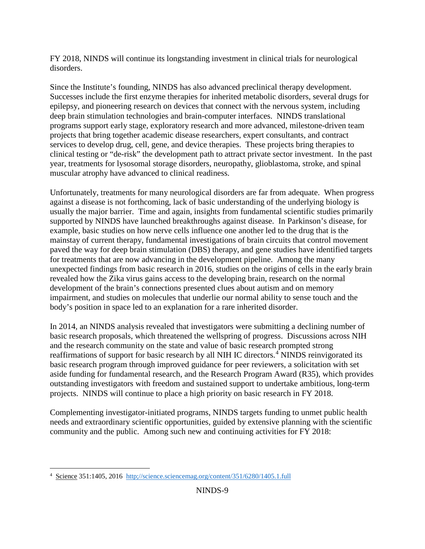disorders. FY 2018, NINDS will continue its longstanding investment in clinical trials for neurological

 epilepsy, and pioneering research on devices that connect with the nervous system, including programs support early stage, exploratory research and more advanced, milestone-driven team services to develop drug, cell, gene, and device therapies. These projects bring therapies to Since the Institute's founding, NINDS has also advanced preclinical therapy development. Successes include the first enzyme therapies for inherited metabolic disorders, several drugs for deep brain stimulation technologies and brain-computer interfaces. NINDS translational projects that bring together academic disease researchers, expert consultants, and contract clinical testing or "de-risk" the development path to attract private sector investment. In the past year, treatments for lysosomal storage disorders, neuropathy, glioblastoma, stroke, and spinal muscular atrophy have advanced to clinical readiness.

 Unfortunately, treatments for many neurological disorders are far from adequate. When progress usually the major barrier. Time and again, insights from fundamental scientific studies primarily supported by NINDS have launched breakthroughs against disease. In Parkinson's disease, for example, basic studies on how nerve cells influence one another led to the drug that is the for treatments that are now advancing in the development pipeline. Among the many unexpected findings from basic research in 2016, studies on the origins of cells in the early brain revealed how the Zika virus gains access to the developing brain, research on the normal impairment, and studies on molecules that underlie our normal ability to sense touch and the against a disease is not forthcoming, lack of basic understanding of the underlying biology is mainstay of current therapy, fundamental investigations of brain circuits that control movement paved the way for deep brain stimulation (DBS) therapy, and gene studies have identified targets development of the brain's connections presented clues about autism and on memory body's position in space led to an explanation for a rare inherited disorder.

 In 2014, an NINDS analysis revealed that investigators were submitting a declining number of basic research proposals, which threatened the wellspring of progress. Discussions across NIH and the research community on the state and value of basic research prompted strong reaffirmations of support for basic research by all NIH IC directors. [4](#page-8-0) NINDS reinvigorated its aside funding for fundamental research, and the Research Program Award (R35), which provides outstanding investigators with freedom and sustained support to undertake ambitious, long-term projects. NINDS will continue to place a high priority on basic research in FY 2018. basic research program through improved guidance for peer reviewers, a solicitation with set

 community and the public. Among such new and continuing activities for FY 2018: Complementing investigator-initiated programs, NINDS targets funding to unmet public health needs and extraordinary scientific opportunities, guided by extensive planning with the scientific

<span id="page-8-0"></span> $\overline{a}$ <sup>4</sup> Science 351:1405, 2016 http://science.sciencemag.org/content/351/6280/1405.1.full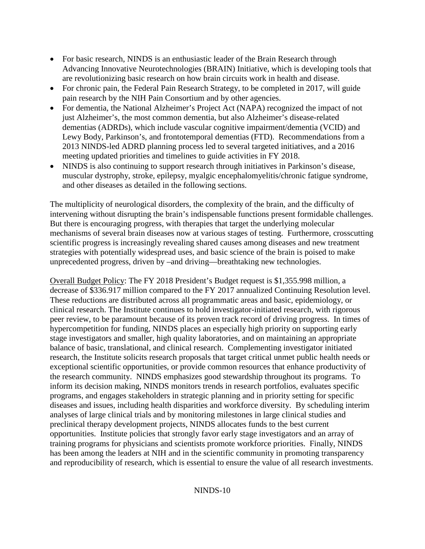- Advancing Innovative Neurotechnologies (BRAIN) Initiative, which is developing tools that •For basic research, NINDS is an enthusiastic leader of the Brain Research through are revolutionizing basic research on how brain circuits work in health and disease.
- pain research by the NIH Pain Consortium and by other agencies. • For chronic pain, the Federal Pain Research Strategy, to be completed in 2017, will guide
- dementias (ADRDs), which include vascular cognitive impairment/dementia (VCID) and Lewy Body, Parkinson's, and frontotemporal dementias (FTD). Recommendations from a 2013 NINDS-led ADRD planning process led to several targeted initiatives, and a 2016 meeting updated priorities and timelines to guide activities in FY 2018. •For dementia, the National Alzheimer's Project Act (NAPA) recognized the impact of not just Alzheimer's, the most common dementia, but also Alzheimer's disease-related
- •NINDS is also continuing to support research through initiatives in Parkinson's disease, muscular dystrophy, stroke, epilepsy, myalgic encephalomyelitis/chronic fatigue syndrome, and other diseases as detailed in the following sections.

 mechanisms of several brain diseases now at various stages of testing. Furthermore, crosscutting scientific progress is increasingly revealing shared causes among diseases and new treatment The multiplicity of neurological disorders, the complexity of the brain, and the difficulty of intervening without disrupting the brain's indispensable functions present formidable challenges. But there is encouraging progress, with therapies that target the underlying molecular strategies with potentially widespread uses, and basic science of the brain is poised to make unprecedented progress, driven by –and driving—breathtaking new technologies.

 decrease of \$336.917 million compared to the FY 2017 annualized Continuing Resolution level. These reductions are distributed across all programmatic areas and basic, epidemiology, or balance of basic, translational, and clinical research. Complementing investigator initiated the research community. NINDS emphasizes good stewardship throughout its programs. To preclinical therapy development projects, NINDS allocates funds to the best current and reproducibility of research, which is essential to ensure the value of all research investments.<br>NINDS-10 Overall Budget Policy: The FY 2018 President's Budget request is \$1,355.998 million, a clinical research. The Institute continues to hold investigator-initiated research, with rigorous peer review, to be paramount because of its proven track record of driving progress. In times of hypercompetition for funding, NINDS places an especially high priority on supporting early stage investigators and smaller, high quality laboratories, and on maintaining an appropriate research, the Institute solicits research proposals that target critical unmet public health needs or exceptional scientific opportunities, or provide common resources that enhance productivity of inform its decision making, NINDS monitors trends in research portfolios, evaluates specific programs, and engages stakeholders in strategic planning and in priority setting for specific diseases and issues, including health disparities and workforce diversity. By scheduling interim analyses of large clinical trials and by monitoring milestones in large clinical studies and opportunities. Institute policies that strongly favor early stage investigators and an array of training programs for physicians and scientists promote workforce priorities. Finally, NINDS has been among the leaders at NIH and in the scientific community in promoting transparency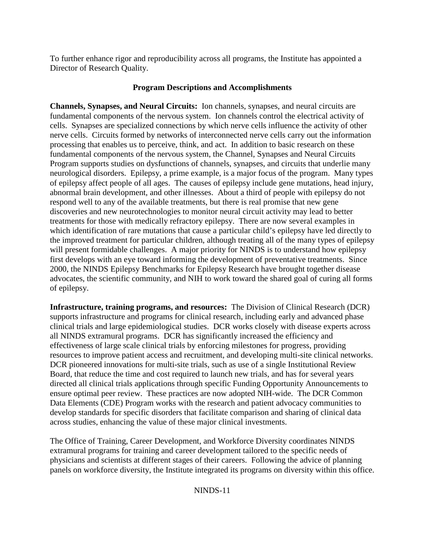To further enhance rigor and reproducibility across all programs, the Institute has appointed a Director of Research Quality.

#### **Program Descriptions and Accomplishments**

 **Channels, Synapses, and Neural Circuits:** Ion channels, synapses, and neural circuits are Program supports studies on dysfunctions of channels, synapses, and circuits that underlie many neurological disorders. Epilepsy, a prime example, is a major focus of the program. Many types of epilepsy affect people of all ages. The causes of epilepsy include gene mutations, head injury, treatments for those with medically refractory epilepsy. There are now several examples in which identification of rare mutations that cause a particular child's epilepsy have led directly to the improved treatment for particular children, although treating all of the many types of epilepsy fundamental components of the nervous system. Ion channels control the electrical activity of cells. Synapses are specialized connections by which nerve cells influence the activity of other nerve cells. Circuits formed by networks of interconnected nerve cells carry out the information processing that enables us to perceive, think, and act. In addition to basic research on these fundamental components of the nervous system, the Channel, Synapses and Neural Circuits abnormal brain development, and other illnesses. About a third of people with epilepsy do not respond well to any of the available treatments, but there is real promise that new gene discoveries and new neurotechnologies to monitor neural circuit activity may lead to better will present formidable challenges. A major priority for NINDS is to understand how epilepsy first develops with an eye toward informing the development of preventative treatments. Since 2000, the NINDS Epilepsy Benchmarks for Epilepsy Research have brought together disease advocates, the scientific community, and NIH to work toward the shared goal of curing all forms of epilepsy.

 **Infrastructure, training programs, and resources:** The Division of Clinical Research (DCR) all NINDS extramural programs. DCR has significantly increased the efficiency and DCR pioneered innovations for multi-site trials, such as use of a single Institutional Review Board, that reduce the time and cost required to launch new trials, and has for several years develop standards for specific disorders that facilitate comparison and sharing of clinical data across studies, enhancing the value of these major clinical investments. supports infrastructure and programs for clinical research, including early and advanced phase clinical trials and large epidemiological studies. DCR works closely with disease experts across effectiveness of large scale clinical trials by enforcing milestones for progress, providing resources to improve patient access and recruitment, and developing multi-site clinical networks. directed all clinical trials applications through specific Funding Opportunity Announcements to ensure optimal peer review. These practices are now adopted NIH-wide. The DCR Common Data Elements (CDE) Program works with the research and patient advocacy communities to

 physicians and scientists at different stages of their careers. Following the advice of planning The Office of Training, Career Development, and Workforce Diversity coordinates NINDS extramural programs for training and career development tailored to the specific needs of panels on workforce diversity, the Institute integrated its programs on diversity within this office.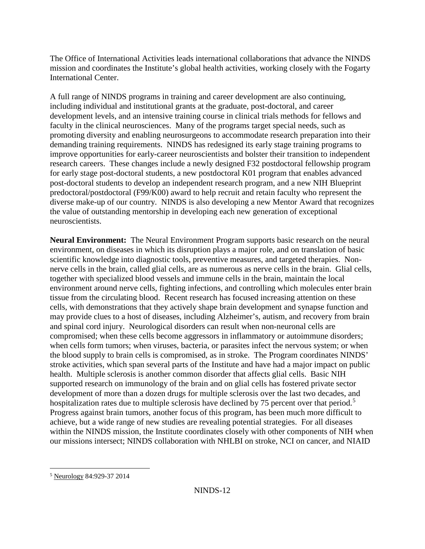mission and coordinates the Institute's global health activities, working closely with the Fogarty The Office of International Activities leads international collaborations that advance the NINDS International Center.

 demanding training requirements. NINDS has redesigned its early stage training programs to research careers. These changes include a newly designed F32 postdoctoral fellowship program post-doctoral students to develop an independent research program, and a new NIH Blueprint predoctoral/postdoctoral (F99/K00) award to help recruit and retain faculty who represent the diverse make-up of our country. NINDS is also developing a new Mentor Award that recognizes the value of outstanding mentorship in developing each new generation of exceptional the value of outstanding mentorship in developing each new generation of exceptional neuroscientists. A full range of NINDS programs in training and career development are also continuing, including individual and institutional grants at the graduate, post-doctoral, and career development levels, and an intensive training course in clinical trials methods for fellows and faculty in the clinical neurosciences. Many of the programs target special needs, such as promoting diversity and enabling neurosurgeons to accommodate research preparation into their improve opportunities for early-career neuroscientists and bolster their transition to independent for early stage post-doctoral students, a new postdoctoral K01 program that enables advanced

Neural Environment: The Neural Environment Program supports basic research on the neural nerve cells in the brain, called glial cells, are as numerous as nerve cells in the brain. Glial cells, environment around nerve cells, fighting infections, and controlling which molecules enter brain stroke activities, which span several parts of the Institute and have had a major impact on public health. Multiple sclerosis is another common disorder that affects glial cells. Basic NIH hospitalization rates due to multiple sclerosis have declined by 7[5](#page-11-0) percent over that period.<sup>5</sup> achieve, but a wide range of new studies are revealing potential strategies. For all diseases environment, on diseases in which its disruption plays a major role, and on translation of basic scientific knowledge into diagnostic tools, preventive measures, and targeted therapies. Nontogether with specialized blood vessels and immune cells in the brain, maintain the local tissue from the circulating blood. Recent research has focused increasing attention on these cells, with demonstrations that they actively shape brain development and synapse function and may provide clues to a host of diseases, including Alzheimer's, autism, and recovery from brain and spinal cord injury. Neurological disorders can result when non-neuronal cells are compromised; when these cells become aggressors in inflammatory or autoimmune disorders; when cells form tumors; when viruses, bacteria, or parasites infect the nervous system; or when the blood supply to brain cells is compromised, as in stroke. The Program coordinates NINDS' supported research on immunology of the brain and on glial cells has fostered private sector development of more than a dozen drugs for multiple sclerosis over the last two decades, and Progress against brain tumors, another focus of this program, has been much more difficult to within the NINDS mission, the Institute coordinates closely with other components of NIH when our missions intersect; NINDS collaboration with NHLBI on stroke, NCI on cancer, and NIAID

<span id="page-11-0"></span><sup>-</sup><sup>5</sup> Neurology 84:929-37 2014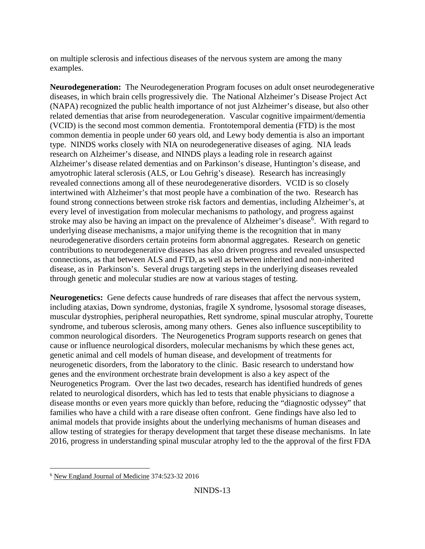on multiple sclerosis and infectious diseases of the nervous system are among the many examples.

 **Neurodegeneration:** The Neurodegeneration Program focuses on adult onset neurodegenerative (NAPA) recognized the public health importance of not just Alzheimer's disease, but also other research on Alzheimer's disease, and NINDS plays a leading role in research against revealed connections among all of these neurodegenerative disorders. VCID is so closely stroke may also be having an impact on the prevalence of Alzheimer's disease<sup>[6](#page-12-0)</sup>. With regard to diseases, in which brain cells progressively die. The National Alzheimer's Disease Project Act related dementias that arise from neurodegeneration. Vascular cognitive impairment/dementia (VCID) is the second most common dementia. Frontotemporal dementia (FTD) is the most common dementia in people under 60 years old, and Lewy body dementia is also an important type. NINDS works closely with NIA on neurodegenerative diseases of aging. NIA leads Alzheimer's disease related dementias and on Parkinson's disease, Huntington's disease, and amyotrophic lateral sclerosis (ALS, or Lou Gehrig's disease). Research has increasingly intertwined with Alzheimer's that most people have a combination of the two. Research has found strong connections between stroke risk factors and dementias, including Alzheimer's, at every level of investigation from molecular mechanisms to pathology, and progress against underlying disease mechanisms, a major unifying theme is the recognition that in many neurodegenerative disorders certain proteins form abnormal aggregates. Research on genetic contributions to neurodegenerative diseases has also driven progress and revealed unsuspected connections, as that between ALS and FTD, as well as between inherited and non-inherited disease, as in Parkinson's. Several drugs targeting steps in the underlying diseases revealed through genetic and molecular studies are now at various stages of testing.

 **Neurogenetics:** Gene defects cause hundreds of rare diseases that affect the nervous system, genetic animal and cell models of human disease, and development of treatments for Neurogenetics Program. Over the last two decades, research has identified hundreds of genes related to neurological disorders, which has led to tests that enable physicians to diagnose a including ataxias, Down syndrome, dystonias, fragile X syndrome, lysosomal storage diseases, muscular dystrophies, peripheral neuropathies, Rett syndrome, spinal muscular atrophy, Tourette syndrome, and tuberous sclerosis, among many others. Genes also influence susceptibility to common neurological disorders. The Neurogenetics Program supports research on genes that cause or influence neurological disorders, molecular mechanisms by which these genes act, neurogenetic disorders, from the laboratory to the clinic. Basic research to understand how genes and the environment orchestrate brain development is also a key aspect of the disease months or even years more quickly than before, reducing the "diagnostic odyssey" that families who have a child with a rare disease often confront. Gene findings have also led to animal models that provide insights about the underlying mechanisms of human diseases and allow testing of strategies for therapy development that target these disease mechanisms. In late 2016, progress in understanding spinal muscular atrophy led to the the approval of the first FDA

<span id="page-12-0"></span><sup>-</sup>6 New England Journal of Medicine 374:523-32 2016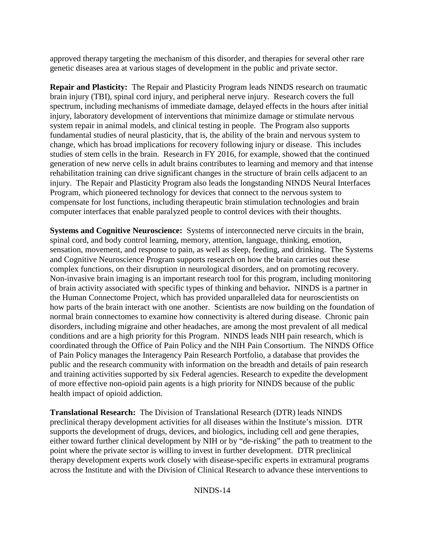approved therapy targeting the mechanism of this disorder, and therapies for several other rare genetic diseases area at various stages of development in the public and private sector.

 **Repair and Plasticity:** The Repair and Plasticity Program leads NINDS research on traumatic studies of stem cells in the brain. Research in FY 2016, for example, showed that the continued injury. The Repair and Plasticity Program also leads the longstanding NINDS Neural Interfaces Program, which pioneered technology for devices that connect to the nervous system to brain injury (TBI), spinal cord injury, and peripheral nerve injury. Research covers the full spectrum, including mechanisms of immediate damage, delayed effects in the hours after initial injury, laboratory development of interventions that minimize damage or stimulate nervous system repair in animal models, and clinical testing in people. The Program also supports fundamental studies of neural plasticity, that is, the ability of the brain and nervous system to change, which has broad implications for recovery following injury or disease. This includes generation of new nerve cells in adult brains contributes to learning and memory and that intense rehabilitation training can drive significant changes in the structure of brain cells adjacent to an compensate for lost functions, including therapeutic brain stimulation technologies and brain computer interfaces that enable paralyzed people to control devices with their thoughts.

 **Systems and Cognitive Neuroscience:** Systems of interconnected nerve circuits in the brain, Non-invasive brain imaging is an important research tool for this program, including monitoring how parts of the brain interact with one another. Scientists are now building on the foundation of of more effective non-opioid pain agents is a high priority for NINDS because of the public spinal cord, and body control learning, memory, attention, language, thinking, emotion, sensation, movement, and response to pain, as well as sleep, feeding, and drinking. The Systems and Cognitive Neuroscience Program supports research on how the brain carries out these complex functions, on their disruption in neurological disorders, and on promoting recovery. of brain activity associated with specific types of thinking and behavior*.* NINDS is a partner in the Human Connectome Project, which has provided unparalleled data for neuroscientists on normal brain connectomes to examine how connectivity is altered during disease. Chronic pain disorders, including migraine and other headaches, are among the most prevalent of all medical conditions and are a high priority for this Program. NINDS leads NIH pain research, which is coordinated through the Office of Pain Policy and the NIH Pain Consortium. The NINDS Office of Pain Policy manages the Interagency Pain Research Portfolio, a database that provides the public and the research community with information on the breadth and details of pain research and training activities supported by six Federal agencies. Research to expedite the development health impact of opioid addiction.

 **Translational Research:** The Division of Translational Research (DTR) leads NINDS across the Institute and with the Division of Clinical Research to advance these interventions to preclinical therapy development activities for all diseases within the Institute's mission. DTR supports the development of drugs, devices, and biologics, including cell and gene therapies, either toward further clinical development by NIH or by "de-risking" the path to treatment to the point where the private sector is willing to invest in further development. DTR preclinical therapy development experts work closely with disease-specific experts in extramural programs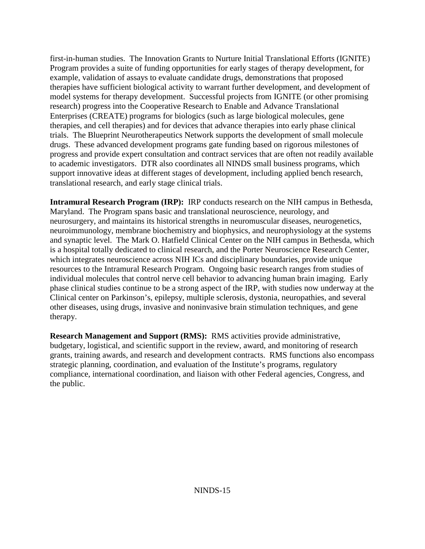model systems for therapy development. Successful projects from IGNITE (or other promising translational research, and early stage clinical trials. first-in-human studies. The Innovation Grants to Nurture Initial Translational Efforts (IGNITE) Program provides a suite of funding opportunities for early stages of therapy development, for example, validation of assays to evaluate candidate drugs, demonstrations that proposed therapies have sufficient biological activity to warrant further development, and development of research) progress into the Cooperative Research to Enable and Advance Translational Enterprises (CREATE) programs for biologics (such as large biological molecules, gene therapies, and cell therapies) and for devices that advance therapies into early phase clinical trials. The Blueprint Neurotherapeutics Network supports the development of small molecule drugs. These advanced development programs gate funding based on rigorous milestones of progress and provide expert consultation and contract services that are often not readily available to academic investigators. DTR also coordinates all NINDS small business programs, which support innovative ideas at different stages of development, including applied bench research,

 **Intramural Research Program (IRP):** IRP conducts research on the NIH campus in Bethesda, neuroimmunology, membrane biochemistry and biophysics, and neurophysiology at the systems which integrates neuroscience across NIH ICs and disciplinary boundaries, provide unique resources to the Intramural Research Program. Ongoing basic research ranges from studies of phase clinical studies continue to be a strong aspect of the IRP, with studies now underway at the Maryland. The Program spans basic and translational neuroscience, neurology, and neurosurgery, and maintains its historical strengths in neuromuscular diseases, neurogenetics, and synaptic level. The Mark O. Hatfield Clinical Center on the NIH campus in Bethesda, which is a hospital totally dedicated to clinical research, and the Porter Neuroscience Research Center, individual molecules that control nerve cell behavior to advancing human brain imaging. Early Clinical center on Parkinson's, epilepsy, multiple sclerosis, dystonia, neuropathies, and several other diseases, using drugs, invasive and noninvasive brain stimulation techniques, and gene therapy.

 **Research Management and Support (RMS):** RMS activities provide administrative, strategic planning, coordination, and evaluation of the Institute's programs, regulatory compliance, international coordination, and liaison with other Federal agencies, Congress, and budgetary, logistical, and scientific support in the review, award, and monitoring of research grants, training awards, and research and development contracts. RMS functions also encompass the public.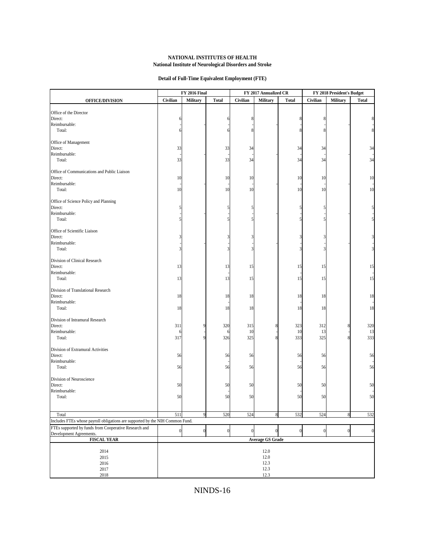#### **NATIONAL INSTITUTES OF HEALTH National Institute of Neurological Disorders and Stroke**

| <b>FY 2016 Final</b><br>FY 2017 Annualized CR<br>Civilian<br>Military<br>Civilian<br><b>Military</b><br>Civilian<br><b>Military</b><br><b>Total</b><br><b>Total</b><br><b>OFFICE/DIVISION</b><br>Office of the Director<br>Direct:<br>8<br>6<br>6<br>Reimbursable:<br>Total:<br>8<br>6<br>Office of Management<br>Direct:<br>33<br>33<br>34<br>34<br>34<br>Reimbursable:<br>33<br>Total:<br>33<br>34<br>34<br>34<br>Office of Communications and Public Liaison<br>Direct:<br>10<br>10<br>10<br>10<br>10<br>Reimbursable:<br>10<br>10<br>10<br>Total:<br>10<br>10<br>Office of Science Policy and Planning<br>Direct:<br>5<br>5<br>ā<br>Reimbursable:<br>Total:<br>Office of Scientific Liaison<br>Direct:<br>3<br>3<br>Reimbursable:<br>Total:<br>3<br>3<br>Division of Clinical Research<br>Direct:<br>13<br>13<br>15<br>15<br>15<br>Reimbursable:<br>13<br>15<br>Total:<br>13<br>15<br>15<br>Division of Translational Research<br>Direct:<br>18<br>18<br>18<br>18<br>18<br>Reimbursable:<br>18<br>Total:<br>18<br>18<br>18<br>18<br>Division of Intramural Research<br>Direct:<br>323<br>311<br>320<br>315<br>8<br>312<br>Reimbursable:<br>10<br>10<br>13<br>6<br>6<br>Total:<br>326<br>325<br>8<br>333<br>317<br>325<br>Division of Extramural Activities<br>Direct:<br>56<br>56<br>56<br>56<br>56<br>Reimbursable:<br>56<br>Total:<br>56<br>56<br>56<br>56<br>Division of Neuroscience<br>Direct:<br>50<br>50<br>50<br>50<br>50<br>Reimbursable:<br>50<br>Total:<br>50<br>50<br>50<br>50 | FY 2018 President's Budget     |  |  |  |
|------------------------------------------------------------------------------------------------------------------------------------------------------------------------------------------------------------------------------------------------------------------------------------------------------------------------------------------------------------------------------------------------------------------------------------------------------------------------------------------------------------------------------------------------------------------------------------------------------------------------------------------------------------------------------------------------------------------------------------------------------------------------------------------------------------------------------------------------------------------------------------------------------------------------------------------------------------------------------------------------------------------------------------------------------------------------------------------------------------------------------------------------------------------------------------------------------------------------------------------------------------------------------------------------------------------------------------------------------------------------------------------------------------------------------------------------------------------------------------------------|--------------------------------|--|--|--|
|                                                                                                                                                                                                                                                                                                                                                                                                                                                                                                                                                                                                                                                                                                                                                                                                                                                                                                                                                                                                                                                                                                                                                                                                                                                                                                                                                                                                                                                                                                | <b>Total</b>                   |  |  |  |
|                                                                                                                                                                                                                                                                                                                                                                                                                                                                                                                                                                                                                                                                                                                                                                                                                                                                                                                                                                                                                                                                                                                                                                                                                                                                                                                                                                                                                                                                                                |                                |  |  |  |
|                                                                                                                                                                                                                                                                                                                                                                                                                                                                                                                                                                                                                                                                                                                                                                                                                                                                                                                                                                                                                                                                                                                                                                                                                                                                                                                                                                                                                                                                                                |                                |  |  |  |
|                                                                                                                                                                                                                                                                                                                                                                                                                                                                                                                                                                                                                                                                                                                                                                                                                                                                                                                                                                                                                                                                                                                                                                                                                                                                                                                                                                                                                                                                                                |                                |  |  |  |
|                                                                                                                                                                                                                                                                                                                                                                                                                                                                                                                                                                                                                                                                                                                                                                                                                                                                                                                                                                                                                                                                                                                                                                                                                                                                                                                                                                                                                                                                                                |                                |  |  |  |
|                                                                                                                                                                                                                                                                                                                                                                                                                                                                                                                                                                                                                                                                                                                                                                                                                                                                                                                                                                                                                                                                                                                                                                                                                                                                                                                                                                                                                                                                                                |                                |  |  |  |
|                                                                                                                                                                                                                                                                                                                                                                                                                                                                                                                                                                                                                                                                                                                                                                                                                                                                                                                                                                                                                                                                                                                                                                                                                                                                                                                                                                                                                                                                                                |                                |  |  |  |
|                                                                                                                                                                                                                                                                                                                                                                                                                                                                                                                                                                                                                                                                                                                                                                                                                                                                                                                                                                                                                                                                                                                                                                                                                                                                                                                                                                                                                                                                                                | 34                             |  |  |  |
|                                                                                                                                                                                                                                                                                                                                                                                                                                                                                                                                                                                                                                                                                                                                                                                                                                                                                                                                                                                                                                                                                                                                                                                                                                                                                                                                                                                                                                                                                                |                                |  |  |  |
|                                                                                                                                                                                                                                                                                                                                                                                                                                                                                                                                                                                                                                                                                                                                                                                                                                                                                                                                                                                                                                                                                                                                                                                                                                                                                                                                                                                                                                                                                                | 34                             |  |  |  |
|                                                                                                                                                                                                                                                                                                                                                                                                                                                                                                                                                                                                                                                                                                                                                                                                                                                                                                                                                                                                                                                                                                                                                                                                                                                                                                                                                                                                                                                                                                |                                |  |  |  |
|                                                                                                                                                                                                                                                                                                                                                                                                                                                                                                                                                                                                                                                                                                                                                                                                                                                                                                                                                                                                                                                                                                                                                                                                                                                                                                                                                                                                                                                                                                | 10                             |  |  |  |
|                                                                                                                                                                                                                                                                                                                                                                                                                                                                                                                                                                                                                                                                                                                                                                                                                                                                                                                                                                                                                                                                                                                                                                                                                                                                                                                                                                                                                                                                                                |                                |  |  |  |
|                                                                                                                                                                                                                                                                                                                                                                                                                                                                                                                                                                                                                                                                                                                                                                                                                                                                                                                                                                                                                                                                                                                                                                                                                                                                                                                                                                                                                                                                                                | 10                             |  |  |  |
|                                                                                                                                                                                                                                                                                                                                                                                                                                                                                                                                                                                                                                                                                                                                                                                                                                                                                                                                                                                                                                                                                                                                                                                                                                                                                                                                                                                                                                                                                                |                                |  |  |  |
|                                                                                                                                                                                                                                                                                                                                                                                                                                                                                                                                                                                                                                                                                                                                                                                                                                                                                                                                                                                                                                                                                                                                                                                                                                                                                                                                                                                                                                                                                                |                                |  |  |  |
|                                                                                                                                                                                                                                                                                                                                                                                                                                                                                                                                                                                                                                                                                                                                                                                                                                                                                                                                                                                                                                                                                                                                                                                                                                                                                                                                                                                                                                                                                                | 5                              |  |  |  |
|                                                                                                                                                                                                                                                                                                                                                                                                                                                                                                                                                                                                                                                                                                                                                                                                                                                                                                                                                                                                                                                                                                                                                                                                                                                                                                                                                                                                                                                                                                |                                |  |  |  |
|                                                                                                                                                                                                                                                                                                                                                                                                                                                                                                                                                                                                                                                                                                                                                                                                                                                                                                                                                                                                                                                                                                                                                                                                                                                                                                                                                                                                                                                                                                |                                |  |  |  |
|                                                                                                                                                                                                                                                                                                                                                                                                                                                                                                                                                                                                                                                                                                                                                                                                                                                                                                                                                                                                                                                                                                                                                                                                                                                                                                                                                                                                                                                                                                |                                |  |  |  |
|                                                                                                                                                                                                                                                                                                                                                                                                                                                                                                                                                                                                                                                                                                                                                                                                                                                                                                                                                                                                                                                                                                                                                                                                                                                                                                                                                                                                                                                                                                |                                |  |  |  |
|                                                                                                                                                                                                                                                                                                                                                                                                                                                                                                                                                                                                                                                                                                                                                                                                                                                                                                                                                                                                                                                                                                                                                                                                                                                                                                                                                                                                                                                                                                |                                |  |  |  |
|                                                                                                                                                                                                                                                                                                                                                                                                                                                                                                                                                                                                                                                                                                                                                                                                                                                                                                                                                                                                                                                                                                                                                                                                                                                                                                                                                                                                                                                                                                |                                |  |  |  |
|                                                                                                                                                                                                                                                                                                                                                                                                                                                                                                                                                                                                                                                                                                                                                                                                                                                                                                                                                                                                                                                                                                                                                                                                                                                                                                                                                                                                                                                                                                |                                |  |  |  |
|                                                                                                                                                                                                                                                                                                                                                                                                                                                                                                                                                                                                                                                                                                                                                                                                                                                                                                                                                                                                                                                                                                                                                                                                                                                                                                                                                                                                                                                                                                |                                |  |  |  |
|                                                                                                                                                                                                                                                                                                                                                                                                                                                                                                                                                                                                                                                                                                                                                                                                                                                                                                                                                                                                                                                                                                                                                                                                                                                                                                                                                                                                                                                                                                | 15                             |  |  |  |
|                                                                                                                                                                                                                                                                                                                                                                                                                                                                                                                                                                                                                                                                                                                                                                                                                                                                                                                                                                                                                                                                                                                                                                                                                                                                                                                                                                                                                                                                                                | 15                             |  |  |  |
|                                                                                                                                                                                                                                                                                                                                                                                                                                                                                                                                                                                                                                                                                                                                                                                                                                                                                                                                                                                                                                                                                                                                                                                                                                                                                                                                                                                                                                                                                                |                                |  |  |  |
|                                                                                                                                                                                                                                                                                                                                                                                                                                                                                                                                                                                                                                                                                                                                                                                                                                                                                                                                                                                                                                                                                                                                                                                                                                                                                                                                                                                                                                                                                                |                                |  |  |  |
|                                                                                                                                                                                                                                                                                                                                                                                                                                                                                                                                                                                                                                                                                                                                                                                                                                                                                                                                                                                                                                                                                                                                                                                                                                                                                                                                                                                                                                                                                                | 18                             |  |  |  |
|                                                                                                                                                                                                                                                                                                                                                                                                                                                                                                                                                                                                                                                                                                                                                                                                                                                                                                                                                                                                                                                                                                                                                                                                                                                                                                                                                                                                                                                                                                |                                |  |  |  |
|                                                                                                                                                                                                                                                                                                                                                                                                                                                                                                                                                                                                                                                                                                                                                                                                                                                                                                                                                                                                                                                                                                                                                                                                                                                                                                                                                                                                                                                                                                | 18                             |  |  |  |
|                                                                                                                                                                                                                                                                                                                                                                                                                                                                                                                                                                                                                                                                                                                                                                                                                                                                                                                                                                                                                                                                                                                                                                                                                                                                                                                                                                                                                                                                                                |                                |  |  |  |
|                                                                                                                                                                                                                                                                                                                                                                                                                                                                                                                                                                                                                                                                                                                                                                                                                                                                                                                                                                                                                                                                                                                                                                                                                                                                                                                                                                                                                                                                                                | 320                            |  |  |  |
|                                                                                                                                                                                                                                                                                                                                                                                                                                                                                                                                                                                                                                                                                                                                                                                                                                                                                                                                                                                                                                                                                                                                                                                                                                                                                                                                                                                                                                                                                                | 13                             |  |  |  |
|                                                                                                                                                                                                                                                                                                                                                                                                                                                                                                                                                                                                                                                                                                                                                                                                                                                                                                                                                                                                                                                                                                                                                                                                                                                                                                                                                                                                                                                                                                | 333                            |  |  |  |
|                                                                                                                                                                                                                                                                                                                                                                                                                                                                                                                                                                                                                                                                                                                                                                                                                                                                                                                                                                                                                                                                                                                                                                                                                                                                                                                                                                                                                                                                                                |                                |  |  |  |
|                                                                                                                                                                                                                                                                                                                                                                                                                                                                                                                                                                                                                                                                                                                                                                                                                                                                                                                                                                                                                                                                                                                                                                                                                                                                                                                                                                                                                                                                                                | 56                             |  |  |  |
|                                                                                                                                                                                                                                                                                                                                                                                                                                                                                                                                                                                                                                                                                                                                                                                                                                                                                                                                                                                                                                                                                                                                                                                                                                                                                                                                                                                                                                                                                                |                                |  |  |  |
|                                                                                                                                                                                                                                                                                                                                                                                                                                                                                                                                                                                                                                                                                                                                                                                                                                                                                                                                                                                                                                                                                                                                                                                                                                                                                                                                                                                                                                                                                                | 56                             |  |  |  |
|                                                                                                                                                                                                                                                                                                                                                                                                                                                                                                                                                                                                                                                                                                                                                                                                                                                                                                                                                                                                                                                                                                                                                                                                                                                                                                                                                                                                                                                                                                |                                |  |  |  |
|                                                                                                                                                                                                                                                                                                                                                                                                                                                                                                                                                                                                                                                                                                                                                                                                                                                                                                                                                                                                                                                                                                                                                                                                                                                                                                                                                                                                                                                                                                |                                |  |  |  |
|                                                                                                                                                                                                                                                                                                                                                                                                                                                                                                                                                                                                                                                                                                                                                                                                                                                                                                                                                                                                                                                                                                                                                                                                                                                                                                                                                                                                                                                                                                | 50                             |  |  |  |
|                                                                                                                                                                                                                                                                                                                                                                                                                                                                                                                                                                                                                                                                                                                                                                                                                                                                                                                                                                                                                                                                                                                                                                                                                                                                                                                                                                                                                                                                                                | $50\,$                         |  |  |  |
|                                                                                                                                                                                                                                                                                                                                                                                                                                                                                                                                                                                                                                                                                                                                                                                                                                                                                                                                                                                                                                                                                                                                                                                                                                                                                                                                                                                                                                                                                                |                                |  |  |  |
|                                                                                                                                                                                                                                                                                                                                                                                                                                                                                                                                                                                                                                                                                                                                                                                                                                                                                                                                                                                                                                                                                                                                                                                                                                                                                                                                                                                                                                                                                                |                                |  |  |  |
| 511<br>520<br>524<br>532<br>524<br>$\,$ 8 $\,$<br>Total                                                                                                                                                                                                                                                                                                                                                                                                                                                                                                                                                                                                                                                                                                                                                                                                                                                                                                                                                                                                                                                                                                                                                                                                                                                                                                                                                                                                                                        | 532<br>8                       |  |  |  |
| Includes FTEs whose payroll obligations are supported by the NIH Common Fund.<br>FTEs supported by funds from Cooperative Research and                                                                                                                                                                                                                                                                                                                                                                                                                                                                                                                                                                                                                                                                                                                                                                                                                                                                                                                                                                                                                                                                                                                                                                                                                                                                                                                                                         |                                |  |  |  |
| $\boldsymbol{0}$<br>$\mathbf{0}$<br>$\boldsymbol{0}$<br>$\boldsymbol{0}$<br>$\theta$<br>$\boldsymbol{0}$<br>$\boldsymbol{0}$<br>Development Agreements.                                                                                                                                                                                                                                                                                                                                                                                                                                                                                                                                                                                                                                                                                                                                                                                                                                                                                                                                                                                                                                                                                                                                                                                                                                                                                                                                        | $\overline{0}$<br>$\mathbf{0}$ |  |  |  |
| <b>FISCAL YEAR</b><br><b>Average GS Grade</b>                                                                                                                                                                                                                                                                                                                                                                                                                                                                                                                                                                                                                                                                                                                                                                                                                                                                                                                                                                                                                                                                                                                                                                                                                                                                                                                                                                                                                                                  |                                |  |  |  |
|                                                                                                                                                                                                                                                                                                                                                                                                                                                                                                                                                                                                                                                                                                                                                                                                                                                                                                                                                                                                                                                                                                                                                                                                                                                                                                                                                                                                                                                                                                |                                |  |  |  |
| 2014                                                                                                                                                                                                                                                                                                                                                                                                                                                                                                                                                                                                                                                                                                                                                                                                                                                                                                                                                                                                                                                                                                                                                                                                                                                                                                                                                                                                                                                                                           | 12.0                           |  |  |  |
| 2015                                                                                                                                                                                                                                                                                                                                                                                                                                                                                                                                                                                                                                                                                                                                                                                                                                                                                                                                                                                                                                                                                                                                                                                                                                                                                                                                                                                                                                                                                           | 12.0                           |  |  |  |
| 2016<br>12.3<br>2017                                                                                                                                                                                                                                                                                                                                                                                                                                                                                                                                                                                                                                                                                                                                                                                                                                                                                                                                                                                                                                                                                                                                                                                                                                                                                                                                                                                                                                                                           | 12.3                           |  |  |  |
| 2018                                                                                                                                                                                                                                                                                                                                                                                                                                                                                                                                                                                                                                                                                                                                                                                                                                                                                                                                                                                                                                                                                                                                                                                                                                                                                                                                                                                                                                                                                           | 12.3                           |  |  |  |